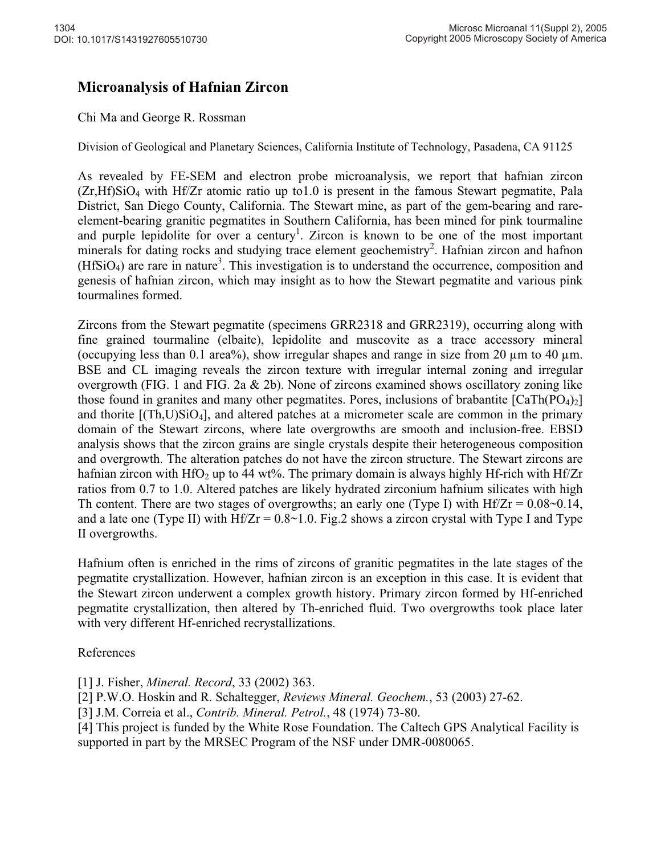## **Microanalysis of Hafnian Zircon**

## Chi Ma and George R. Rossman

Division of Geological and Planetary Sciences, California Institute of Technology, Pasadena, CA 91125

As revealed by FE-SEM and electron probe microanalysis, we report that hafnian zircon  $(Zr,Hf)SiO<sub>4</sub>$  with Hf/Zr atomic ratio up to 1.0 is present in the famous Stewart pegmatite, Pala District, San Diego County, California. The Stewart mine, as part of the gem-bearing and rareelement-bearing granitic pegmatites in Southern California, has been mined for pink tourmaline and purple lepidolite for over a century<sup>1</sup>. Zircon is known to be one of the most important minerals for dating rocks and studying trace element geochemistry<sup>2</sup>. Hafnian zircon and hafnon  $(HfSiO<sub>4</sub>)$  are rare in nature<sup>3</sup>. This investigation is to understand the occurrence, composition and genesis of hafnian zircon, which may insight as to how the Stewart pegmatite and various pink tourmalines formed.

Zircons from the Stewart pegmatite (specimens GRR2318 and GRR2319), occurring along with fine grained tourmaline (elbaite), lepidolite and muscovite as a trace accessory mineral (occupying less than 0.1 area%), show irregular shapes and range in size from 20  $\mu$ m to 40  $\mu$ m. BSE and CL imaging reveals the zircon texture with irregular internal zoning and irregular overgrowth (FIG. 1 and FIG. 2a & 2b). None of zircons examined shows oscillatory zoning like those found in granites and many other pegmatites. Pores, inclusions of brabantite  $[CaTh(PO<sub>4</sub>)<sub>2</sub>]$ and thorite  $[(Th, U)SiO<sub>4</sub>]$ , and altered patches at a micrometer scale are common in the primary domain of the Stewart zircons, where late overgrowths are smooth and inclusion-free. EBSD analysis shows that the zircon grains are single crystals despite their heterogeneous composition and overgrowth. The alteration patches do not have the zircon structure. The Stewart zircons are hafnian zircon with HfO<sub>2</sub> up to 44 wt%. The primary domain is always highly Hf-rich with Hf/Zr ratios from 0.7 to 1.0. Altered patches are likely hydrated zirconium hafnium silicates with high Th content. There are two stages of overgrowths; an early one (Type I) with  $Hf/Zr = 0.08 \sim 0.14$ , and a late one (Type II) with  $Hf/Zr = 0.8~1.0$ . Fig. 2 shows a zircon crystal with Type I and Type II overgrowths.

Hafnium often is enriched in the rims of zircons of granitic pegmatites in the late stages of the pegmatite crystallization. However, hafnian zircon is an exception in this case. It is evident that the Stewart zircon underwent a complex growth history. Primary zircon formed by Hf-enriched pegmatite crystallization, then altered by Th-enriched fluid. Two overgrowths took place later with very different Hf-enriched recrystallizations.

## References

[1] J. Fisher, *Mineral. Record*, 33 (2002) 363.

[2] P.W.O. Hoskin and R. Schaltegger, *Reviews Mineral. Geochem.*, 53 (2003) 27-62.

[3] J.M. Correia et al., *Contrib. Mineral. Petrol.*, 48 (1974) 73-80.

[4] This project is funded by the White Rose Foundation. The Caltech GPS Analytical Facility is supported in part by the MRSEC Program of the NSF under DMR-0080065.